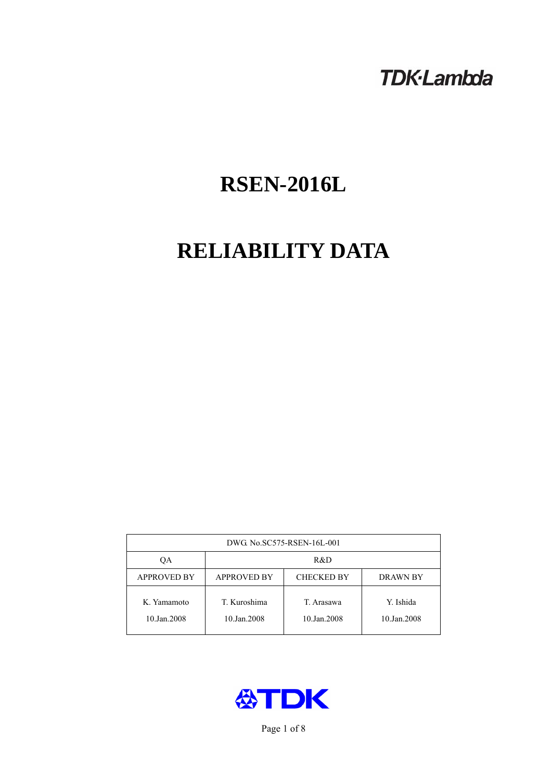# **TDK-Lambda**

# **RSEN-2016L**

# **RELIABILITY DATA**

| DWG No.SC575-RSEN-16L-001  |                                                     |                           |                          |  |  |
|----------------------------|-----------------------------------------------------|---------------------------|--------------------------|--|--|
| ОA                         | R&D                                                 |                           |                          |  |  |
| <b>APPROVED BY</b>         | <b>APPROVED BY</b><br><b>CHECKED BY</b><br>DRAWN BY |                           |                          |  |  |
| K. Yamamoto<br>10.Jan.2008 | T. Kuroshima<br>10.Jan.2008                         | T. Arasawa<br>10.Jan.2008 | Y. Ishida<br>10.Jan.2008 |  |  |



Page 1 of 8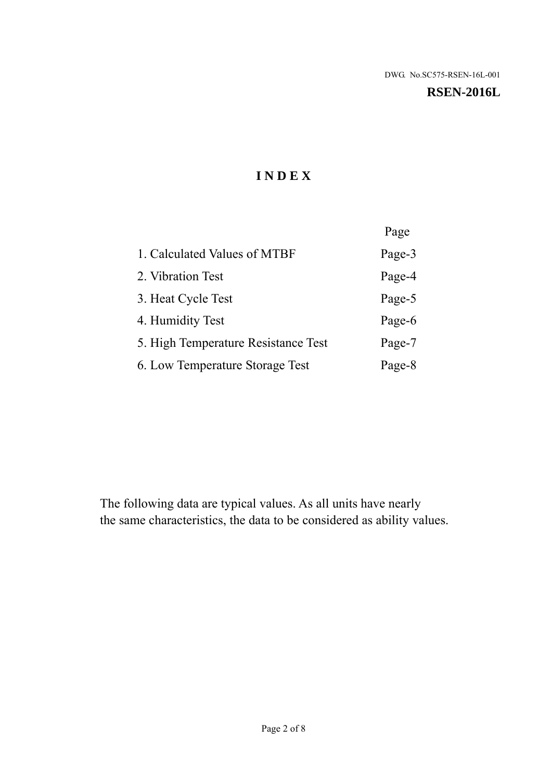#### **RSEN-2016L**

# **I N D E X**

|                                     | Page   |
|-------------------------------------|--------|
| 1. Calculated Values of MTBF        | Page-3 |
| 2. Vibration Test                   | Page-4 |
| 3. Heat Cycle Test                  | Page-5 |
| 4. Humidity Test                    | Page-6 |
| 5. High Temperature Resistance Test | Page-7 |
| 6. Low Temperature Storage Test     | Page-8 |

The following data are typical values. As all units have nearly the same characteristics, the data to be considered as ability values.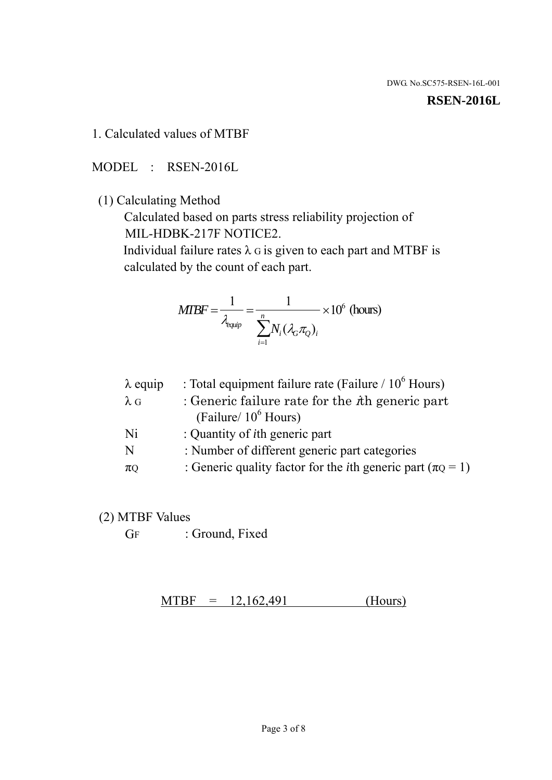#### **RSEN-2016L**

1. Calculated values of MTBF

MODEL : RSEN-2016L

(1) Calculating Method

 Calculated based on parts stress reliability projection of MIL-HDBK-217F NOTICE2.

Individual failure rates  $\lambda$  G is given to each part and MTBF is calculated by the count of each part.

$$
MTBF = \frac{1}{\lambda_{\text{equip}}} = \frac{1}{\sum_{i=1}^{n} N_i (\lambda_G \pi_Q)_i} \times 10^6 \text{ (hours)}
$$

| $\lambda$ equip | : Total equipment failure rate (Failure / $10^6$ Hours)                   |
|-----------------|---------------------------------------------------------------------------|
| $\lambda$ G     | : Generic failure rate for the $\hbar$ generic part                       |
|                 | (Failure/ $10^6$ Hours)                                                   |
| Ni              | : Quantity of <i>i</i> th generic part                                    |
| N               | : Number of different generic part categories                             |
| $\pi Q$         | : Generic quality factor for the <i>i</i> th generic part ( $\pi Q = 1$ ) |
|                 |                                                                           |

- (2) MTBF Values
	- GF : Ground, Fixed

 $MTBF = 12,162,491$  (Hours)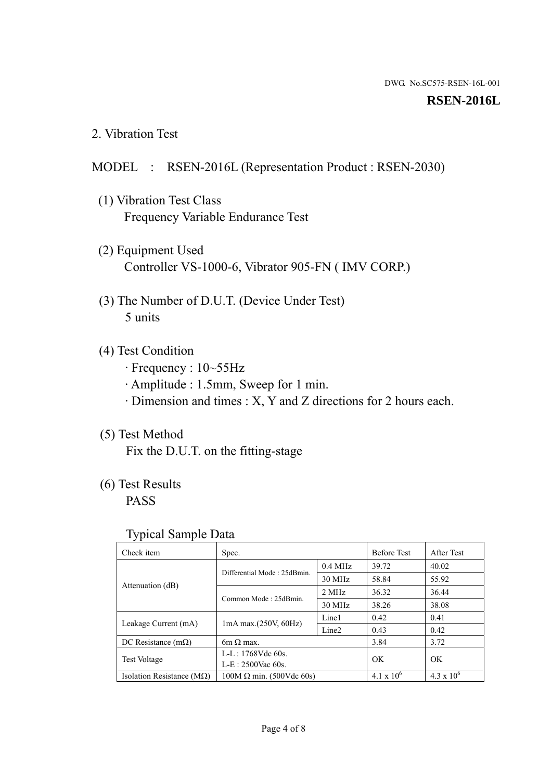#### **RSEN-2016L**

2. Vibration Test

### MODEL : RSEN-2016L (Representation Product : RSEN-2030)

- (1) Vibration Test Class Frequency Variable Endurance Test
- (2) Equipment Used Controller VS-1000-6, Vibrator 905-FN ( IMV CORP.)
- (3) The Number of D.U.T. (Device Under Test) 5 units
- (4) Test Condition
	- · Frequency : 10~55Hz
	- · Amplitude : 1.5mm, Sweep for 1 min.
	- · Dimension and times : X, Y and Z directions for 2 hours each.

## (5) Test Method

Fix the D.U.T. on the fitting-stage

# (6) Test Results

PASS

#### Typical Sample Data

| Check item                         | Spec.                           |                   | <b>Before Test</b>  | After Test          |
|------------------------------------|---------------------------------|-------------------|---------------------|---------------------|
|                                    | Differential Mode: 25dBmin.     | $0.4$ MHz         | 39.72               | 40.02               |
|                                    |                                 | 30 MHz            | 58.84               | 55.92               |
| Attenuation (dB)                   | Common Mode: 25dBmin.           | 2 MHz             | 36.32               | 36.44               |
|                                    |                                 | 30 MHz            | 38.26               | 38.08               |
| Leakage Current (mA)               | $1mA$ max. $(250V, 60Hz)$       | Line1             | 0.42                | 0.41                |
|                                    |                                 | Line <sub>2</sub> | 0.43                | 0.42                |
| DC Resistance $(m\Omega)$          | 6m $\Omega$ max.                |                   | 3.84                | 3.72                |
| <b>Test Voltage</b>                | L-L: 1768Vdc 60s.               |                   |                     |                     |
|                                    | $L-E$ : 2500Vac 60s.            |                   | OK                  | OK                  |
| Isolation Resistance ( $M\Omega$ ) | $100M \Omega$ min. (500Vdc 60s) |                   | $4.1 \times 10^{6}$ | $4.3 \times 10^{6}$ |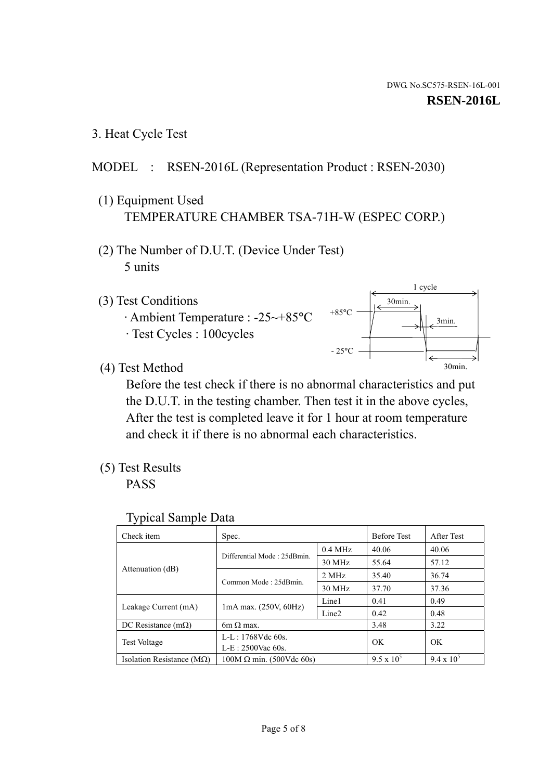3. Heat Cycle Test

# MODEL : RSEN-2016L (Representation Product : RSEN-2030)

- (1) Equipment Used TEMPERATURE CHAMBER TSA-71H-W (ESPEC CORP.)
- (2) The Number of D.U.T. (Device Under Test) 5 units
- (3) Test Conditions
	- · Ambient Temperature : -25~+85°C · Test Cycles : 100cycles



(4) Test Method

 Before the test check if there is no abnormal characteristics and put the D.U.T. in the testing chamber. Then test it in the above cycles, After the test is completed leave it for 1 hour at room temperature and check it if there is no abnormal each characteristics.

(5) Test Results

PASS

| <b>Typical Sample Data</b> |  |  |
|----------------------------|--|--|
|----------------------------|--|--|

| Check item                    | Spec.                           |                     | <b>Before Test</b> | After Test        |
|-------------------------------|---------------------------------|---------------------|--------------------|-------------------|
|                               | Differential Mode: 25dBmin.     | $0.4\ \mathrm{MHz}$ | 40.06              | 40.06             |
|                               |                                 | 30 MHz              | 55.64              | 57.12             |
| Attenuation (dB)              | Common Mode: 25dBmin.           | 2 MHz               | 35.40              | 36.74             |
|                               |                                 | 30 MHz              | 37.70              | 37.36             |
| Leakage Current (mA)          | $1mA$ max. $(250V, 60Hz)$       | Line1               | 0.41               | 0.49              |
|                               |                                 | Line <sub>2</sub>   | 0.42               | 0.48              |
| DC Resistance $(m\Omega)$     | $6m \Omega$ max.                |                     | 3.48               | 3.22              |
|                               | L-L: 1768Vdc 60s.               |                     | OK                 | OK                |
| <b>Test Voltage</b>           | $L-E: 2500$ Vac 60s.            |                     |                    |                   |
| Isolation Resistance ( $MQ$ ) | $100M \Omega$ min. (500Vdc 60s) |                     | $9.5 \times 10^5$  | $9.4 \times 10^5$ |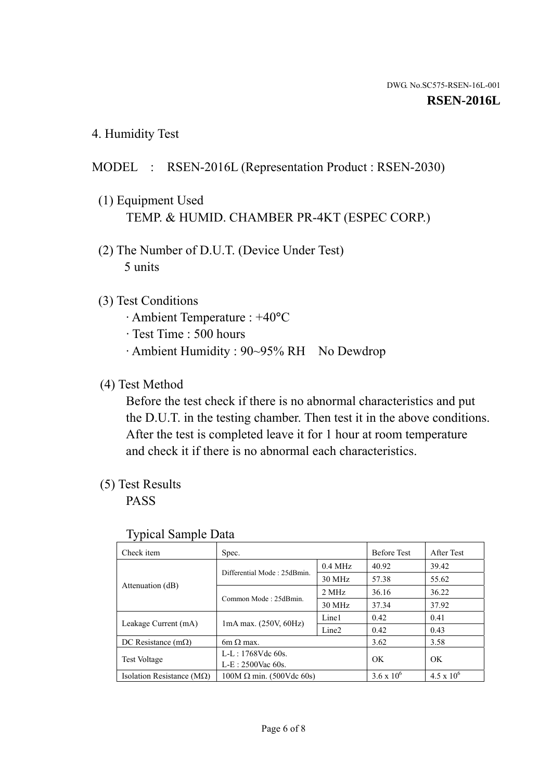4. Humidity Test

# MODEL : RSEN-2016L (Representation Product : RSEN-2030)

- (1) Equipment Used TEMP. & HUMID. CHAMBER PR-4KT (ESPEC CORP.)
- (2) The Number of D.U.T. (Device Under Test) 5 units

### (3) Test Conditions

- · Ambient Temperature : +40°C
- · Test Time : 500 hours
- · Ambient Humidity : 90~95% RH No Dewdrop

# (4) Test Method

 Before the test check if there is no abnormal characteristics and put the D.U.T. in the testing chamber. Then test it in the above conditions. After the test is completed leave it for 1 hour at room temperature and check it if there is no abnormal each characteristics.

# (5) Test Results

PASS

| . .                                |                                 |                   |                     |                     |
|------------------------------------|---------------------------------|-------------------|---------------------|---------------------|
| Check item                         | Spec.                           |                   | <b>Before Test</b>  | After Test          |
| Attenuation (dB)                   | Differential Mode: 25dBmin.     | $0.4$ MHz         | 40.92               | 39.42               |
|                                    |                                 | 30 MHz            | 57.38               | 55.62               |
|                                    | Common Mode: 25dBmin.           | 2 MHz             | 36.16               | 36.22               |
|                                    |                                 | 30 MHz            | 37.34               | 37.92               |
| Leakage Current (mA)               | $1mA$ max. $(250V, 60Hz)$       | Line1             | 0.42                | 0.41                |
|                                    |                                 | Line <sub>2</sub> | 0.42                | 0.43                |
| DC Resistance $(m\Omega)$          | 6m $\Omega$ max.                |                   | 3.62                | 3.58                |
| <b>Test Voltage</b>                | $L-L: 1768Vdc$ 60s.             |                   | OK                  | OK                  |
|                                    | $L-E: 2500$ Vac 60s.            |                   |                     |                     |
| Isolation Resistance ( $M\Omega$ ) | $100M \Omega$ min. (500Vdc 60s) |                   | $3.6 \times 10^{6}$ | $4.5 \times 10^{6}$ |

#### Typical Sample Data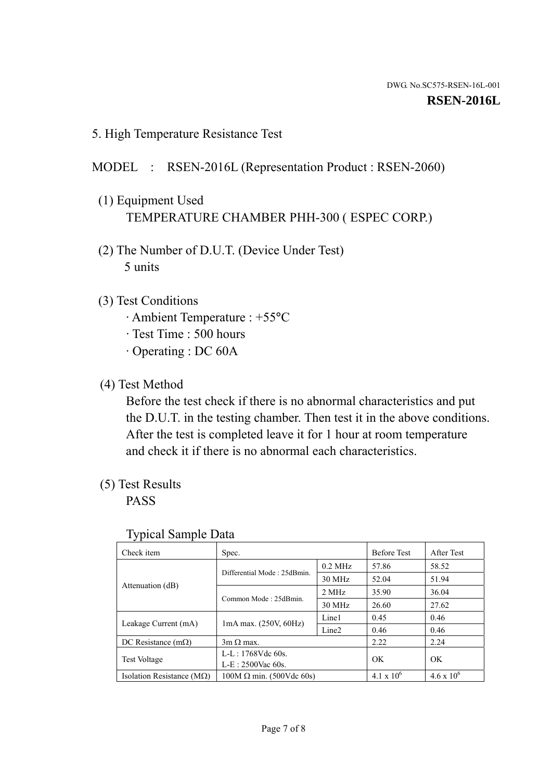5. High Temperature Resistance Test

## MODEL : RSEN-2016L (Representation Product : RSEN-2060)

- (1) Equipment Used TEMPERATURE CHAMBER PHH-300 ( ESPEC CORP.)
- (2) The Number of D.U.T. (Device Under Test) 5 units
- (3) Test Conditions
	- · Ambient Temperature : +55°C
	- · Test Time : 500 hours
	- · Operating : DC 60A
- (4) Test Method

 Before the test check if there is no abnormal characteristics and put the D.U.T. in the testing chamber. Then test it in the above conditions. After the test is completed leave it for 1 hour at room temperature and check it if there is no abnormal each characteristics.

(5) Test Results

PASS

| ╯┸                                 |                                                         |           |                     |                     |
|------------------------------------|---------------------------------------------------------|-----------|---------------------|---------------------|
| Check item                         | Spec.                                                   |           | <b>Before Test</b>  | After Test          |
|                                    | Differential Mode: 25dBmin.                             | $0.2$ MHz | 57.86               | 58.52               |
|                                    |                                                         | 30 MHz    | 52.04               | 51.94               |
| Attenuation (dB)                   | Common Mode: 25dBmin.                                   | 2 MHz     | 35.90               | 36.04               |
|                                    |                                                         | 30 MHz    | 26.60               | 27.62               |
| Leakage Current (mA)               | Line1<br>$1mA$ max. $(250V, 60Hz)$<br>Line <sub>2</sub> |           | 0.45                | 0.46                |
|                                    |                                                         |           | 0.46                | 0.46                |
| DC Resistance $(m\Omega)$          | $3m \Omega$ max.                                        |           | 2.22                | 2.24                |
| <b>Test Voltage</b>                | $L-L: 1768Vdc$ 60s.                                     |           | OK                  | OK                  |
|                                    | $L-E: 2500$ Vac 60s.                                    |           |                     |                     |
| Isolation Resistance ( $M\Omega$ ) | $100M \Omega$ min. (500Vdc 60s)                         |           | $4.1 \times 10^{6}$ | $4.6 \times 10^{6}$ |

#### Typical Sample Data